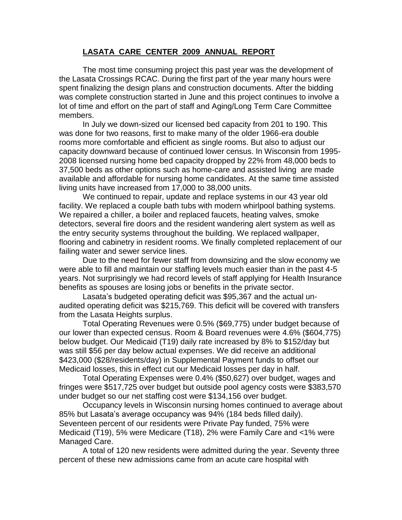## **LASATA CARE CENTER 2009 ANNUAL REPORT**

The most time consuming project this past year was the development of the Lasata Crossings RCAC. During the first part of the year many hours were spent finalizing the design plans and construction documents. After the bidding was complete construction started in June and this project continues to involve a lot of time and effort on the part of staff and Aging/Long Term Care Committee members.

In July we down-sized our licensed bed capacity from 201 to 190. This was done for two reasons, first to make many of the older 1966-era double rooms more comfortable and efficient as single rooms. But also to adjust our capacity downward because of continued lower census. In Wisconsin from 1995- 2008 licensed nursing home bed capacity dropped by 22% from 48,000 beds to 37,500 beds as other options such as home-care and assisted living are made available and affordable for nursing home candidates. At the same time assisted living units have increased from 17,000 to 38,000 units.

We continued to repair, update and replace systems in our 43 year old facility. We replaced a couple bath tubs with modern whirlpool bathing systems. We repaired a chiller, a boiler and replaced faucets, heating valves, smoke detectors, several fire doors and the resident wandering alert system as well as the entry security systems throughout the building. We replaced wallpaper, flooring and cabinetry in resident rooms. We finally completed replacement of our failing water and sewer service lines.

Due to the need for fewer staff from downsizing and the slow economy we were able to fill and maintain our staffing levels much easier than in the past 4-5 years. Not surprisingly we had record levels of staff applying for Health Insurance benefits as spouses are losing jobs or benefits in the private sector.

Lasata's budgeted operating deficit was \$95,367 and the actual unaudited operating deficit was \$215,769. This deficit will be covered with transfers from the Lasata Heights surplus.

Total Operating Revenues were 0.5% (\$69,775) under budget because of our lower than expected census. Room & Board revenues were 4.6% (\$604,775) below budget. Our Medicaid (T19) daily rate increased by 8% to \$152/day but was still \$56 per day below actual expenses. We did receive an additional \$423,000 (\$28/residents/day) in Supplemental Payment funds to offset our Medicaid losses, this in effect cut our Medicaid losses per day in half.

Total Operating Expenses were 0.4% (\$50,627) over budget, wages and fringes were \$517,725 over budget but outside pool agency costs were \$383,570 under budget so our net staffing cost were \$134,156 over budget.

Occupancy levels in Wisconsin nursing homes continued to average about 85% but Lasata's average occupancy was 94% (184 beds filled daily). Seventeen percent of our residents were Private Pay funded, 75% were Medicaid (T19), 5% were Medicare (T18), 2% were Family Care and <1% were Managed Care.

A total of 120 new residents were admitted during the year. Seventy three percent of these new admissions came from an acute care hospital with